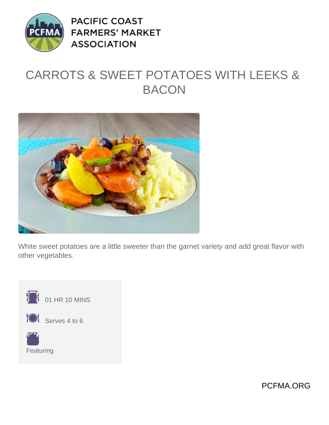

**PACIFIC COAST FARMERS' MARKET ASSOCIATION** 

## CARROTS & SWEET POTATOES WITH LEEKS & **BACON**



White sweet potatoes are a little sweeter than the garnet variety and add great flavor with other vegetables.



PCFMA.ORG